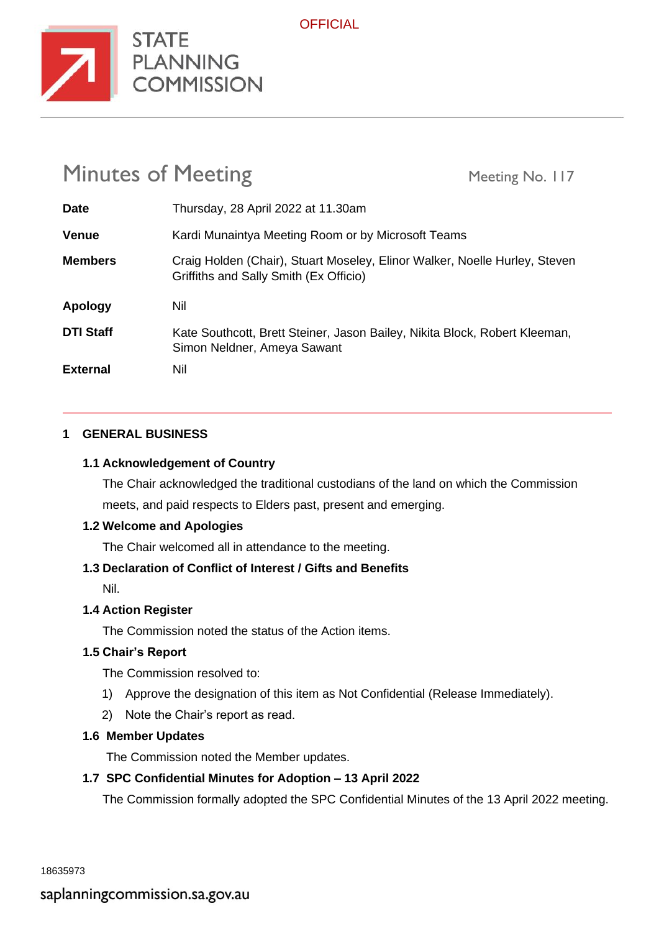

STATE<br>PLANNING<br>COMMISSION

# Minutes of Meeting Meeting Meeting No. 117

| <b>Date</b>      | Thursday, 28 April 2022 at 11.30am                                                                                   |
|------------------|----------------------------------------------------------------------------------------------------------------------|
| <b>Venue</b>     | Kardi Munaintya Meeting Room or by Microsoft Teams                                                                   |
| <b>Members</b>   | Craig Holden (Chair), Stuart Moseley, Elinor Walker, Noelle Hurley, Steven<br>Griffiths and Sally Smith (Ex Officio) |
|                  |                                                                                                                      |
| Apology          | Nil                                                                                                                  |
| <b>DTI Staff</b> | Kate Southcott, Brett Steiner, Jason Bailey, Nikita Block, Robert Kleeman,<br>Simon Neldner, Ameya Sawant            |

**OFFICIAL** 

# **1 GENERAL BUSINESS**

# **1.1 Acknowledgement of Country**

The Chair acknowledged the traditional custodians of the land on which the Commission meets, and paid respects to Elders past, present and emerging.

# **1.2 Welcome and Apologies**

The Chair welcomed all in attendance to the meeting.

# **1.3 Declaration of Conflict of Interest / Gifts and Benefits**

Nil.

# **1.4 Action Register**

The Commission noted the status of the Action items.

#### **1.5 Chair's Report**

The Commission resolved to:

- 1) Approve the designation of this item as Not Confidential (Release Immediately).
- 2) Note the Chair's report as read.

# **1.6 Member Updates**

The Commission noted the Member updates.

# **1.7 SPC Confidential Minutes for Adoption – 13 April 2022**

The Commission formally adopted the SPC Confidential Minutes of the 13 April 2022 meeting.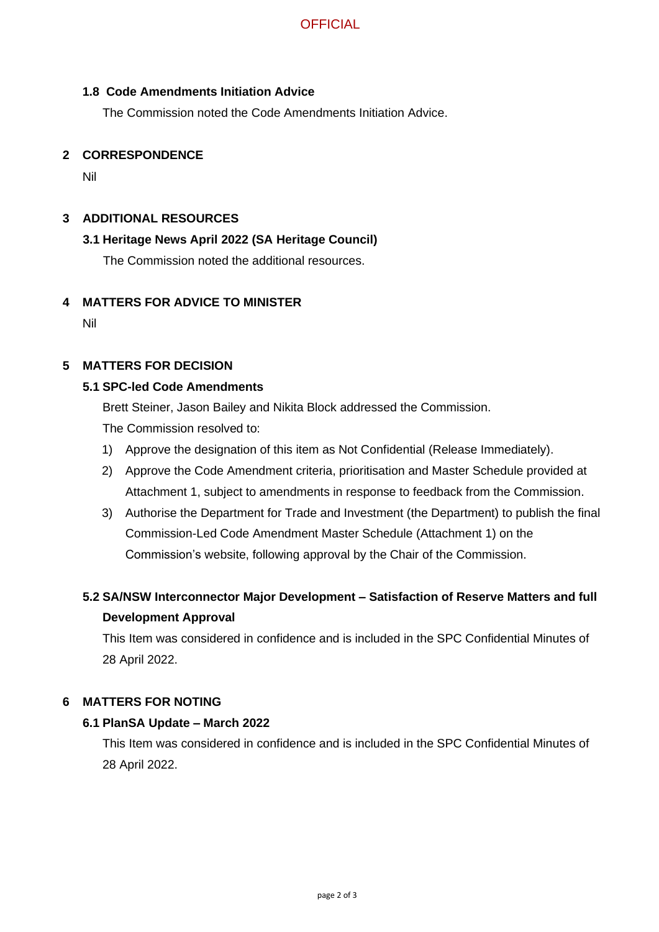# **OFFICIAL**

# **1.8 Code Amendments Initiation Advice**

The Commission noted the Code Amendments Initiation Advice.

# **2 CORRESPONDENCE**

Nil

# **3 ADDITIONAL RESOURCES**

#### **3.1 Heritage News April 2022 (SA Heritage Council)**

The Commission noted the additional resources.

#### **4 MATTERS FOR ADVICE TO MINISTER**

Nil

# **5 MATTERS FOR DECISION**

#### **5.1 SPC-led Code Amendments**

Brett Steiner, Jason Bailey and Nikita Block addressed the Commission.

The Commission resolved to:

- 1) Approve the designation of this item as Not Confidential (Release Immediately).
- 2) Approve the Code Amendment criteria, prioritisation and Master Schedule provided at Attachment 1, subject to amendments in response to feedback from the Commission.
- 3) Authorise the Department for Trade and Investment (the Department) to publish the final Commission-Led Code Amendment Master Schedule (Attachment 1) on the Commission's website, following approval by the Chair of the Commission.

# **5.2 SA/NSW Interconnector Major Development – Satisfaction of Reserve Matters and full Development Approval**

This Item was considered in confidence and is included in the SPC Confidential Minutes of 28 April 2022.

#### **6 MATTERS FOR NOTING**

#### **6.1 PlanSA Update – March 2022**

This Item was considered in confidence and is included in the SPC Confidential Minutes of 28 April 2022.